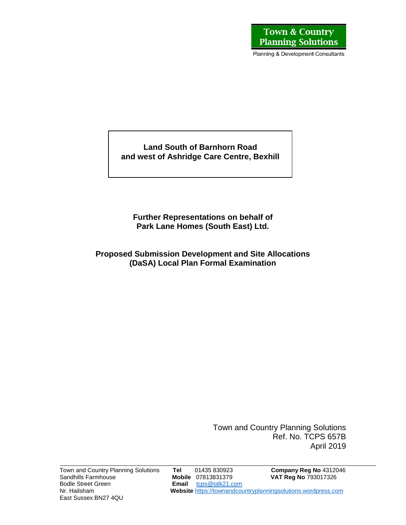Planning & Development Consultants

**Land South of Barnhorn Road and west of Ashridge Care Centre, Bexhill**

**Further Representations on behalf of Park Lane Homes (South East) Ltd.**

**Proposed Submission Development and Site Allocations (DaSA) Local Plan Formal Examination** 

> Town and Country Planning Solutions Ref. No. TCPS 657B April 2019

East Sussex BN27 4QU

Town and Country Planning Solutions **Tel** 01435 830923 **Company Reg No** 4312046 Sandhills Farmhouse **Mobile** 07813831379 **VAT Reg No** 793017326 Email [tcps@talk21.com](mailto:tcps@talk21.com) Nr. Hailsham **Website** [https://townandcountryplanningsolutions.wordpress.com](https://townandcountryplanningsolutions.wordpress.com/)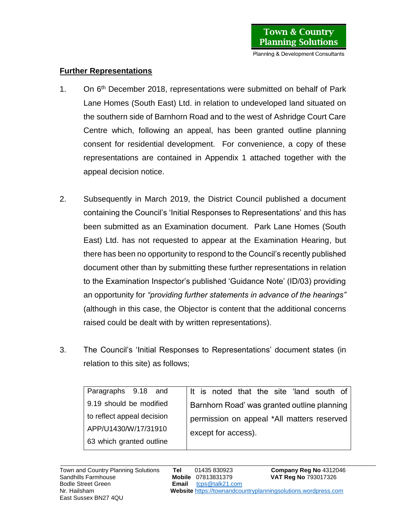Planning & Development Consultants

## **Further Representations**

- 1. On 6<sup>th</sup> December 2018, representations were submitted on behalf of Park Lane Homes (South East) Ltd. in relation to undeveloped land situated on the southern side of Barnhorn Road and to the west of Ashridge Court Care Centre which, following an appeal, has been granted outline planning consent for residential development. For convenience, a copy of these representations are contained in Appendix 1 attached together with the appeal decision notice.
- 2. Subsequently in March 2019, the District Council published a document containing the Council's 'Initial Responses to Representations' and this has been submitted as an Examination document. Park Lane Homes (South East) Ltd. has not requested to appear at the Examination Hearing, but there has been no opportunity to respond to the Council's recently published document other than by submitting these further representations in relation to the Examination Inspector's published 'Guidance Note' (ID/03) providing an opportunity for *"providing further statements in advance of the hearings"* (although in this case, the Objector is content that the additional concerns raised could be dealt with by written representations).
- 3. The Council's 'Initial Responses to Representations' document states (in relation to this site) as follows;

| Paragraphs 9.18 and        | It is noted that the site 'land south of    |
|----------------------------|---------------------------------------------|
| 9.19 should be modified    | Barnhorn Road' was granted outline planning |
| to reflect appeal decision | permission on appeal *All matters reserved  |
| APP/U1430/W/17/31910       | except for access).                         |
| 63 which granted outline   |                                             |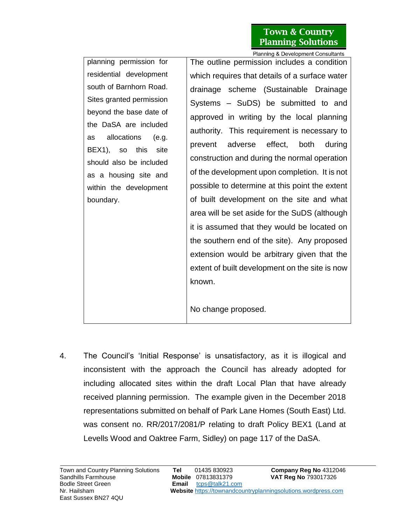## **Town & Country Planning Solutions**

planning permission for residential development south of Barnhorn Road. Sites granted permission beyond the base date of the DaSA are included as allocations (e.g. BEX1), so this site should also be included as a housing site and within the development boundary.

Planning & Development Consultants The outline permission includes a condition which requires that details of a surface water drainage scheme (Sustainable Drainage Systems – SuDS) be submitted to and approved in writing by the local planning authority. This requirement is necessary to prevent adverse effect, both during construction and during the normal operation of the development upon completion. It is not possible to determine at this point the extent of built development on the site and what area will be set aside for the SuDS (although it is assumed that they would be located on the southern end of the site). Any proposed extension would be arbitrary given that the extent of built development on the site is now known.

No change proposed.

4. The Council's 'Initial Response' is unsatisfactory, as it is illogical and inconsistent with the approach the Council has already adopted for including allocated sites within the draft Local Plan that have already received planning permission. The example given in the December 2018 representations submitted on behalf of Park Lane Homes (South East) Ltd. was consent no. RR/2017/2081/P relating to draft Policy BEX1 (Land at Levells Wood and Oaktree Farm, Sidley) on page 117 of the DaSA.